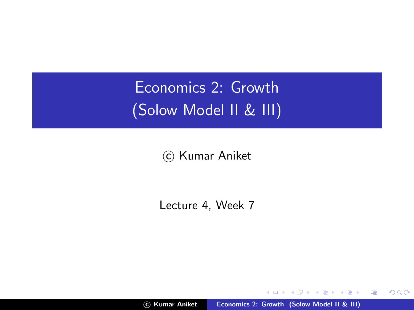Economics 2: Growth (Solow Model II & III)

(c) Kumar Aniket

Lecture 4, Week 7

c Kumar Aniket [Economics 2: Growth \(Solow Model II & III\)](#page-22-0)

a mills.

K 御 ▶ K 君 ▶ K 君 ▶

<span id="page-0-0"></span>重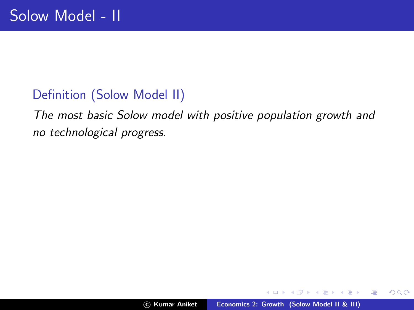### Definition (Solow Model II)

The most basic Solow model with positive population growth and no technological progress.

 $\leftarrow$   $\Box$ 

A.

医毛囊 医头尾 医下颌

哇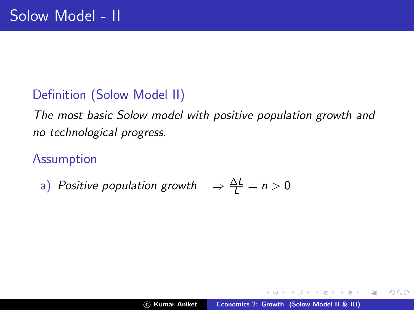### Definition (Solow Model II)

The most basic Solow model with positive population growth and no technological progress.

### Assumption

a) Positive population growth  $\Rightarrow \frac{\Delta L}{L} = n > 0$ 

桐 トラ ミュ エト

哇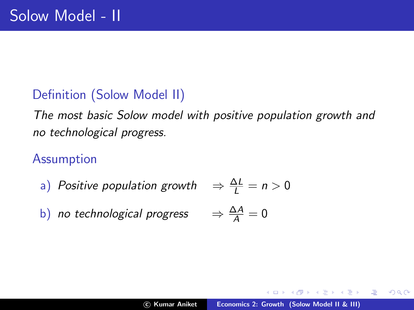### Definition (Solow Model II)

The most basic Solow model with positive population growth and no technological progress.

### Assumption

- a) Positive population growth
- b) no technological progress

$$
\Rightarrow \frac{\Delta L}{L} = n > 0
$$

 $\Rightarrow \frac{\Delta A}{A} = 0$ 

哇

**ALCOHOL:** 

 $QQ$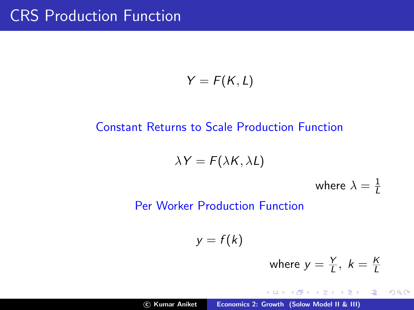# CRS Production Function

$$
Y=F(K,L)
$$

#### Constant Returns to Scale Production Function

 $\lambda Y = F(\lambda K, \lambda L)$ 

where  $\lambda=\frac{1}{L}$ L

Per Worker Production Function

 $y = f(k)$ 

where 
$$
y = \frac{Y}{L}
$$
,  $k = \frac{K}{L}$ 

K 御 と K 唐 と K 唐 と…

哇

 $2Q$ 

 $4.171 +$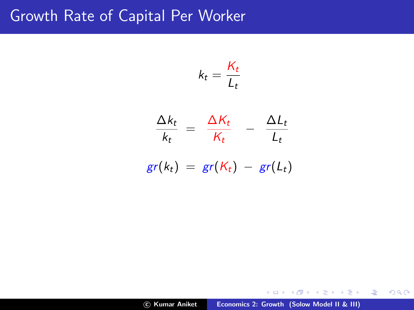## Growth Rate of Capital Per Worker

$$
k_t = \frac{K_t}{L_t}
$$

$$
\frac{\Delta k_t}{k_t} = \frac{\Delta K_t}{K_t} - \frac{\Delta L_t}{L_t}
$$

$$
gr(k_t) = gr(K_t) - gr(L_t)
$$

**≮ロト ⊀ 御 ト ⊀ 君 ト ⊀ 君 ト** …

佳

 $299$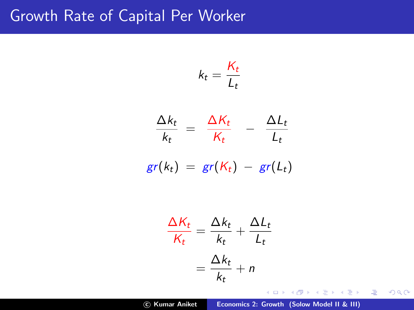## Growth Rate of Capital Per Worker

$$
k_t = \frac{K_t}{L_t}
$$

$$
\frac{\Delta k_t}{k_t} = \frac{\Delta K_t}{K_t} - \frac{\Delta L_t}{L_t}
$$

$$
gr(k_t) = gr(K_t) - gr(L_t)
$$

$$
\frac{\Delta K_t}{K_t} = \frac{\Delta k_t}{k_t} + \frac{\Delta L_t}{L_t}
$$

$$
= \frac{\Delta k_t}{k_t} + n
$$

c Kumar Aniket [Economics 2: Growth \(Solow Model II & III\)](#page-0-0)

K ロ ▶ K 御 ▶ K 君 ▶ K 君 ▶ ...

佳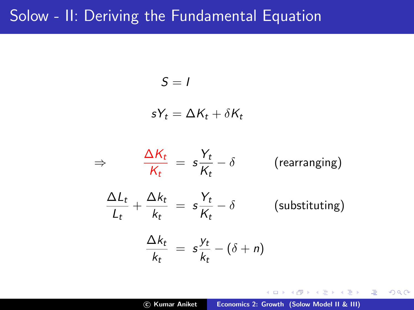## Solow - II: Deriving the Fundamental Equation

$$
S = I
$$

$$
sY_t = \Delta K_t + \delta K_t
$$

$$
\Rightarrow \frac{\Delta K_t}{K_t} = s \frac{Y_t}{K_t} - \delta \quad \text{(rearranging)}
$$
\n
$$
\frac{\Delta L_t}{L_t} + \frac{\Delta k_t}{k_t} = s \frac{Y_t}{K_t} - \delta \quad \text{(substituting)}
$$
\n
$$
\frac{\Delta k_t}{k_t} = s \frac{Y_t}{k_t} - (\delta + n)
$$

 $4.171 +$ 

A P

→ 唐 ▶ → 唐 ▶ ○

佳

 $299$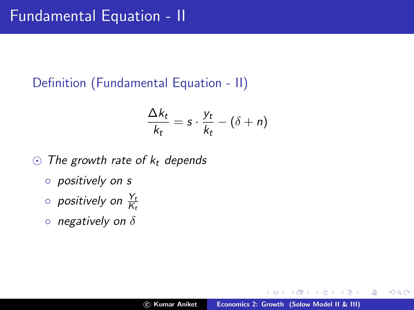## Definition (Fundamental Equation - II)

$$
\frac{\Delta k_t}{k_t} = s \cdot \frac{y_t}{k_t} - (\delta + n)
$$

- $\odot$  The growth rate of  $k_t$  depends
	- positively on s
	- $\circ$  positively on  $\frac{Y_t}{K_t}$
	- $\circ$  negatively on  $\delta$

哇

4 三 日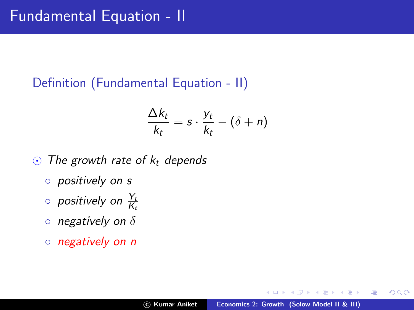## Definition (Fundamental Equation - II)

$$
\frac{\Delta k_t}{k_t} = s \cdot \frac{y_t}{k_t} - (\delta + n)
$$

- $\odot$  The growth rate of  $k_t$  depends
	- positively on s
	- $\circ$  positively on  $\frac{Y_t}{K_t}$
	- $\circ$  negatively on  $\delta$
	- negatively on n

哇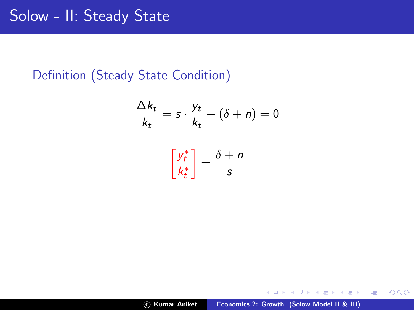# Solow - II: Steady State

#### Definition (Steady State Condition)

$$
\frac{\Delta k_t}{k_t} = s \cdot \frac{y_t}{k_t} - (\delta + n) = 0
$$

$$
\left[\frac{y_t^*}{k_t^*}\right] = \frac{\delta + n}{s}
$$

a mills.

佳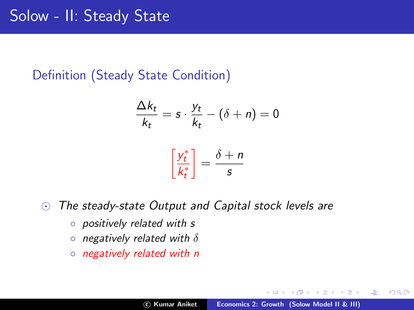Definition (Steady State Condition)

$$
\frac{\Delta k_t}{k_t} = s \cdot \frac{y_t}{k_t} - (\delta + n) = 0
$$

$$
\left[\frac{y_t^*}{k_t^*}\right] = \frac{\delta + n}{s}
$$

 $\odot$  The steady-state Output and Capital stock levels are

 $k_t^*$ 

- positively related with s
- $\circ$  negatively related with  $\delta$
- negatively related with n

→ 唐 × → 唐 × 。

哇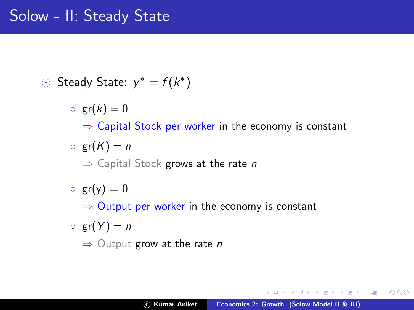# Solow - II: Steady State

- ⊙ Steady State:  $y^* = f(k^*)$ 
	- $\circ$  gr(k) = 0  $\Rightarrow$  Capital Stock per worker in the economy is constant  $\circ$  gr(K) = n
		- $\Rightarrow$  Capital Stock grows at the rate n
	- $\circ$  gr(y) = 0

 $\Rightarrow$  Output per worker in the economy is constant

 $\circ$  gr(Y) = n

 $\Rightarrow$  Output grow at the rate *n* 

K 御 ▶ K 君 ▶ K 君 ▶

哇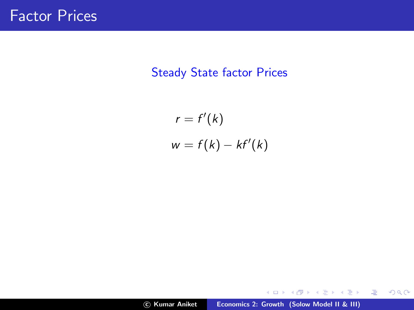#### Steady State factor Prices

$$
r = f'(k)
$$
  

$$
w = f(k) - kf'(k)
$$

メロメ メ都 メメ きょくきょ

佳

 $299$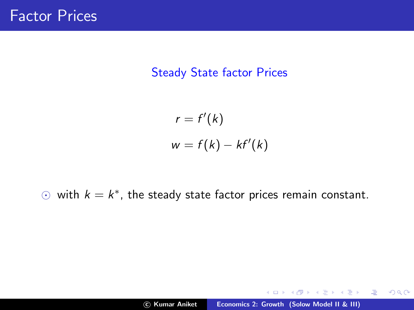#### Steady State factor Prices

$$
r = f'(k)
$$
  

$$
w = f(k) - kf'(k)
$$

 $\odot$  with  $k = k^*$ , the steady state factor prices remain constant.

a mills.

メタト メミト メミト

哇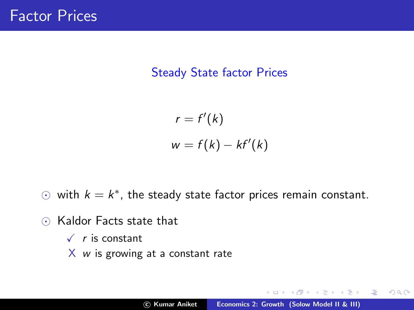#### Steady State factor Prices

$$
r = f'(k)
$$
  

$$
w = f(k) - kf'(k)
$$

- $\odot$  with  $k = k^*$ , the steady state factor prices remain constant.
- $\odot$  Kaldor Facts state that
	- $\sqrt{r}$  is constant
	- $X$  *w* is growing at a constant rate

個 ト メ ミ ト メ ミ ト

哇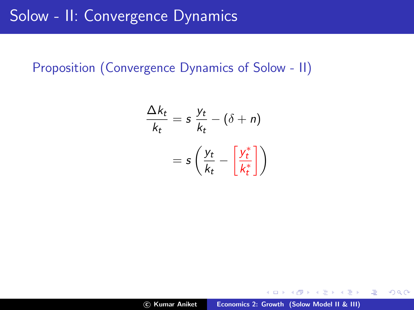#### Proposition (Convergence Dynamics of Solow - II)

$$
\frac{\Delta k_t}{k_t} = s \frac{y_t}{k_t} - (\delta + n)
$$

$$
= s \left( \frac{y_t}{k_t} - \left[ \frac{y_t^*}{k_t^*} \right] \right)
$$

イロン イ団ン イミン イミン・ミ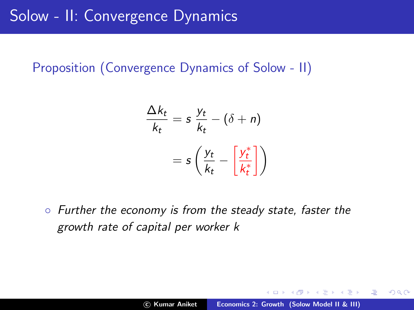### Proposition (Convergence Dynamics of Solow - II)

$$
\frac{\Delta k_t}{k_t} = s \frac{y_t}{k_t} - (\delta + n)
$$

$$
= s \left( \frac{y_t}{k_t} - \left[ \frac{y_t^*}{k_t^*} \right] \right)
$$

◦ Further the economy is from the steady state, faster the growth rate of capital per worker k

メ御 トメミ トメミト

注

 $QQ$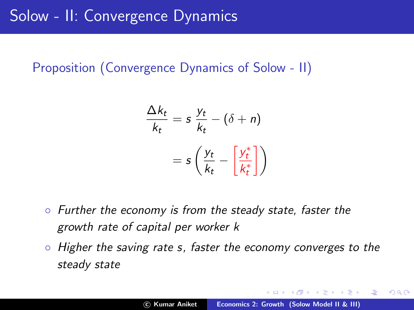### Proposition (Convergence Dynamics of Solow - II)

$$
\frac{\Delta k_t}{k_t} = s \frac{y_t}{k_t} - (\delta + n)
$$

$$
= s \left( \frac{y_t}{k_t} - \left[ \frac{y_t^*}{k_t^*} \right] \right)
$$

- Further the economy is from the steady state, faster the growth rate of capital per worker k
- Higher the saving rate s, faster the economy converges to the steady state

メター・メディ メディー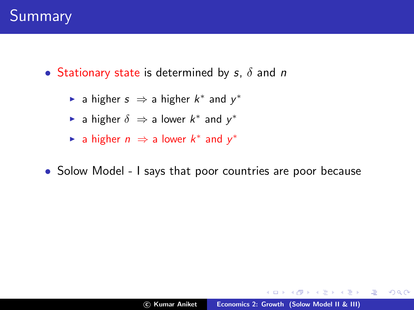- Stationary state is determined by  $s, \delta$  and n
	- ► a higher  $s \Rightarrow$  a higher  $k^*$  and  $y^*$
	- ► a higher  $\delta \Rightarrow$  a lower  $k^*$  and  $y^*$
	- ► a higher  $n \Rightarrow$  a lower  $k^*$  and  $y^*$
- Solow Model I says that poor countries are poor because

 $\rightarrow$   $\equiv$   $\rightarrow$ 

A.

**ALC: N** 

 $2Q$ 

哇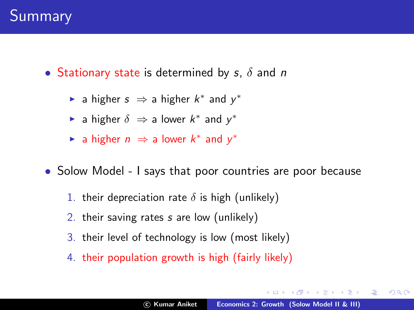• Stationary state is determined by s,  $\delta$  and n

- ► a higher  $s \Rightarrow$  a higher  $k^*$  and  $y^*$
- ► a higher  $\delta \Rightarrow$  a lower  $k^*$  and  $y^*$
- ► a higher  $n \Rightarrow$  a lower  $k^*$  and  $y^*$
- Solow Model I says that poor countries are poor because
	- 1. their depreciation rate  $\delta$  is high (unlikely)
	- 2. their saving rates s are low (unlikely)
	- 3. their level of technology is low (most likely)
	- 4. their population growth is high (fairly likely)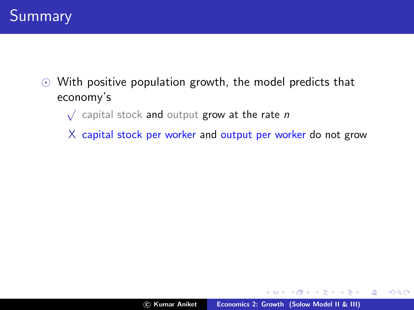

- $\odot$  With positive population growth, the model predicts that economy's
	- $\sqrt{\phantom{a}}$  capital stock and output grow at the rate n
	- X capital stock per worker and output per worker do not grow

 $4.17 \pm 1.0$ 

A + + = + + = +

哇